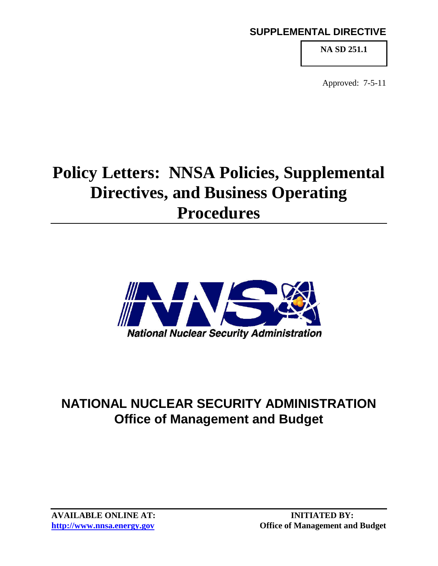### **SUPPLEMENTAL DIRECTIVE**

**NA SD 251.1**

Approved: 7-5-11

# **Policy Letters: NNSA Policies, Supplemental Directives, and Business Operating Procedures**



## **NATIONAL NUCLEAR SECURITY ADMINISTRATION Office of Management and Budget**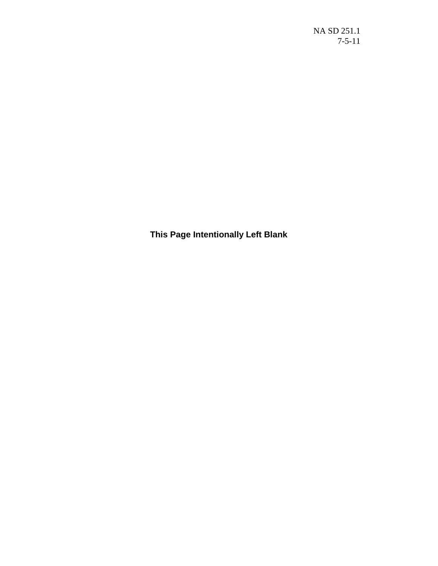**This Page Intentionally Left Blank**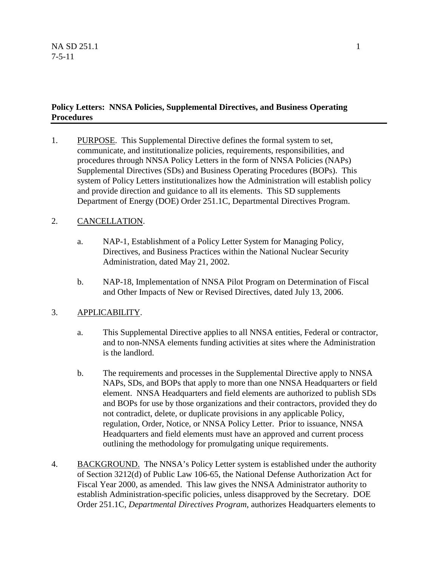#### **Policy Letters: NNSA Policies, Supplemental Directives, and Business Operating Procedures**

1. PURPOSE. This Supplemental Directive defines the formal system to set, communicate, and institutionalize policies, requirements, responsibilities, and procedures through NNSA Policy Letters in the form of NNSA Policies (NAPs) Supplemental Directives (SDs) and Business Operating Procedures (BOPs). This system of Policy Letters institutionalizes how the Administration will establish policy and provide direction and guidance to all its elements. This SD supplements Department of Energy (DOE) Order 251.1C, Departmental Directives Program.

#### 2. CANCELLATION.

- a. NAP-1, Establishment of a Policy Letter System for Managing Policy, Directives, and Business Practices within the National Nuclear Security Administration, dated May 21, 2002.
- b. NAP-18, Implementation of NNSA Pilot Program on Determination of Fiscal and Other Impacts of New or Revised Directives, dated July 13, 2006.

#### 3. APPLICABILITY.

- a. This Supplemental Directive applies to all NNSA entities, Federal or contractor, and to non-NNSA elements funding activities at sites where the Administration is the landlord.
- b. The requirements and processes in the Supplemental Directive apply to NNSA NAPs, SDs, and BOPs that apply to more than one NNSA Headquarters or field element. NNSA Headquarters and field elements are authorized to publish SDs and BOPs for use by those organizations and their contractors, provided they do not contradict, delete, or duplicate provisions in any applicable Policy, regulation, Order, Notice, or NNSA Policy Letter. Prior to issuance, NNSA Headquarters and field elements must have an approved and current process outlining the methodology for promulgating unique requirements.
- 4. BACKGROUND. The NNSA's Policy Letter system is established under the authority of Section 3212(d) of Public Law 106-65, the National Defense Authorization Act for Fiscal Year 2000, as amended. This law gives the NNSA Administrator authority to establish Administration-specific policies, unless disapproved by the Secretary. DOE Order 251.1C, *Departmental Directives Program*, authorizes Headquarters elements to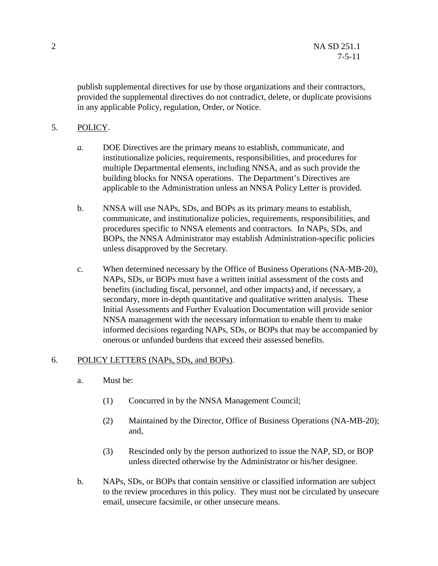publish supplemental directives for use by those organizations and their contractors, provided the supplemental directives do not contradict, delete, or duplicate provisions in any applicable Policy, regulation, Order, or Notice.

#### 5. POLICY.

- *a.* DOE Directives are the primary means to establish, communicate, and institutionalize policies, requirements, responsibilities, and procedures for multiple Departmental elements, including NNSA, and as such provide the building blocks for NNSA operations. The Department's Directives are applicable to the Administration unless an NNSA Policy Letter is provided*.*
- b. NNSA will use NAPs, SDs, and BOPs as its primary means to establish, communicate, and institutionalize policies, requirements, responsibilities, and procedures specific to NNSA elements and contractors. In NAPs, SDs, and BOPs, the NNSA Administrator may establish Administration-specific policies unless disapproved by the Secretary.
- c. When determined necessary by the Office of Business Operations (NA-MB-20), NAPs, SDs, or BOPs must have a written initial assessment of the costs and benefits (including fiscal, personnel, and other impacts) and, if necessary, a secondary, more in-depth quantitative and qualitative written analysis. These Initial Assessments and Further Evaluation Documentation will provide senior NNSA management with the necessary information to enable them to make informed decisions regarding NAPs, SDs, or BOPs that may be accompanied by onerous or unfunded burdens that exceed their assessed benefits.

#### 6. POLICY LETTERS (NAPs, SDs, and BOPs).

- a. Must be:
	- (1) Concurred in by the NNSA Management Council;
	- (2) Maintained by the Director, Office of Business Operations (NA-MB-20); and,
	- (3) Rescinded only by the person authorized to issue the NAP, SD, or BOP unless directed otherwise by the Administrator or his/her designee.
- b. NAPs, SDs, or BOPs that contain sensitive or classified information are subject to the review procedures in this policy. They must not be circulated by unsecure email, unsecure facsimile, or other unsecure means.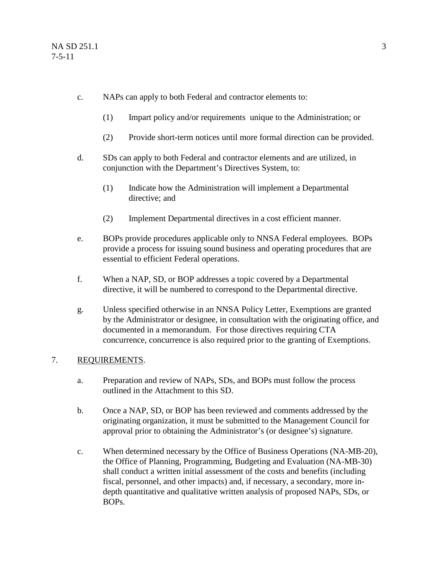- c. NAPs can apply to both Federal and contractor elements to:
	- (1) Impart policy and/or requirements unique to the Administration; or
	- (2) Provide short-term notices until more formal direction can be provided.
- d. SDs can apply to both Federal and contractor elements and are utilized, in conjunction with the Department's Directives System, to:
	- (1) Indicate how the Administration will implement a Departmental directive; and
	- (2) Implement Departmental directives in a cost efficient manner.
- e. BOPs provide procedures applicable only to NNSA Federal employees. BOPs provide a process for issuing sound business and operating procedures that are essential to efficient Federal operations.
- f. When a NAP, SD, or BOP addresses a topic covered by a Departmental directive, it will be numbered to correspond to the Departmental directive.
- g. Unless specified otherwise in an NNSA Policy Letter, Exemptions are granted by the Administrator or designee, in consultation with the originating office, and documented in a memorandum. For those directives requiring CTA concurrence, concurrence is also required prior to the granting of Exemptions.

#### 7. REQUIREMENTS.

- a. Preparation and review of NAPs, SDs, and BOPs must follow the process outlined in the Attachment to this SD.
- b. Once a NAP, SD, or BOP has been reviewed and comments addressed by the originating organization, it must be submitted to the Management Council for approval prior to obtaining the Administrator's (or designee's) signature.
- c. When determined necessary by the Office of Business Operations (NA-MB-20), the Office of Planning, Programming, Budgeting and Evaluation (NA-MB-30) shall conduct a written initial assessment of the costs and benefits (including fiscal, personnel, and other impacts) and, if necessary, a secondary, more indepth quantitative and qualitative written analysis of proposed NAPs, SDs, or BOPs.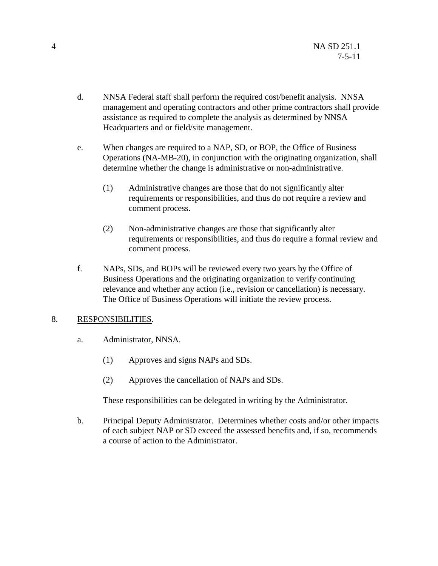- d. NNSA Federal staff shall perform the required cost/benefit analysis. NNSA management and operating contractors and other prime contractors shall provide assistance as required to complete the analysis as determined by NNSA Headquarters and or field/site management.
- e. When changes are required to a NAP, SD, or BOP, the Office of Business Operations (NA-MB-20), in conjunction with the originating organization, shall determine whether the change is administrative or non-administrative.
	- (1) Administrative changes are those that do not significantly alter requirements or responsibilities, and thus do not require a review and comment process.
	- (2) Non-administrative changes are those that significantly alter requirements or responsibilities, and thus do require a formal review and comment process.
- f. NAPs, SDs, and BOPs will be reviewed every two years by the Office of Business Operations and the originating organization to verify continuing relevance and whether any action (i.e., revision or cancellation) is necessary. The Office of Business Operations will initiate the review process.

#### 8. RESPONSIBILITIES.

- a. Administrator, NNSA.
	- (1) Approves and signs NAPs and SDs.
	- (2) Approves the cancellation of NAPs and SDs.

These responsibilities can be delegated in writing by the Administrator.

b. Principal Deputy Administrator. Determines whether costs and/or other impacts of each subject NAP or SD exceed the assessed benefits and, if so, recommends a course of action to the Administrator.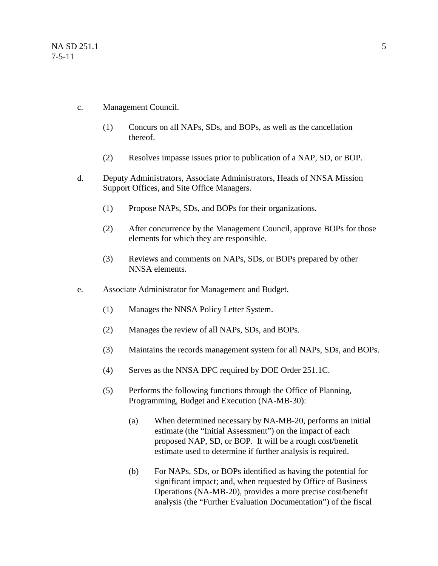- c. Management Council.
	- (1) Concurs on all NAPs, SDs, and BOPs, as well as the cancellation thereof.
	- (2) Resolves impasse issues prior to publication of a NAP, SD, or BOP.
- d. Deputy Administrators, Associate Administrators, Heads of NNSA Mission Support Offices, and Site Office Managers.
	- (1) Propose NAPs, SDs, and BOPs for their organizations.
	- (2) After concurrence by the Management Council, approve BOPs for those elements for which they are responsible.
	- (3) Reviews and comments on NAPs, SDs, or BOPs prepared by other NNSA elements.
- e. Associate Administrator for Management and Budget.
	- (1) Manages the NNSA Policy Letter System.
	- (2) Manages the review of all NAPs, SDs, and BOPs.
	- (3) Maintains the records management system for all NAPs, SDs, and BOPs.
	- (4) Serves as the NNSA DPC required by DOE Order 251.1C.
	- (5) Performs the following functions through the Office of Planning, Programming, Budget and Execution (NA-MB-30):
		- (a) When determined necessary by NA-MB-20, performs an initial estimate (the "Initial Assessment") on the impact of each proposed NAP, SD, or BOP. It will be a rough cost/benefit estimate used to determine if further analysis is required.
		- (b) For NAPs, SDs, or BOPs identified as having the potential for significant impact; and, when requested by Office of Business Operations (NA-MB-20), provides a more precise cost/benefit analysis (the "Further Evaluation Documentation") of the fiscal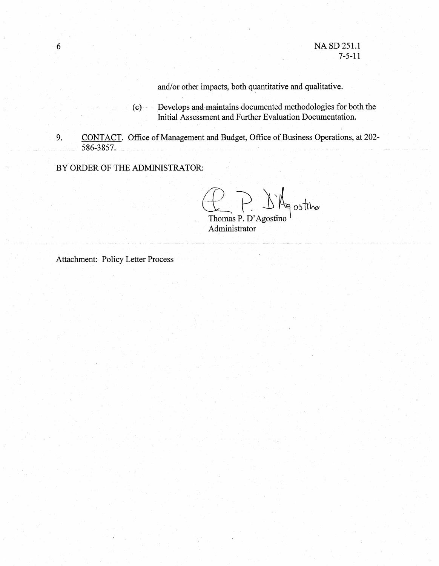and/or other impacts, both quantitative and qualitative.

- Develops and maintains documented methodologies for both the  $(c)$ Initial Assessment and Further Evaluation Documentation.
- 9. CONTACT. Office of Management and Budget, Office of Business Operations, at 202-586-3857.

BY ORDER OF THE ADMINISTRATOR:

6

P D'Agostine

Thomas P. D'Agostino Administrator

**Attachment: Policy Letter Process**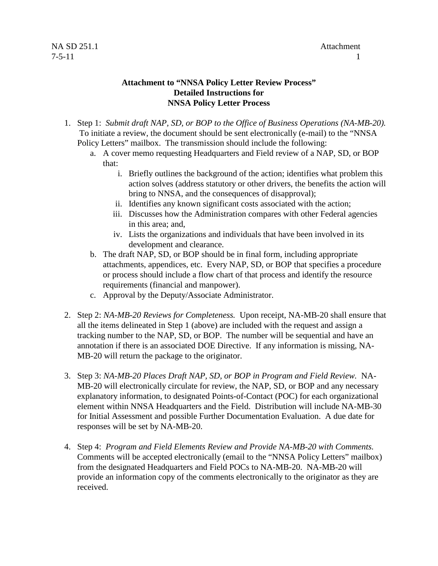#### **Attachment to "NNSA Policy Letter Review Process" Detailed Instructions for NNSA Policy Letter Process**

- 1. Step 1: *Submit draft NAP, SD, or BOP to the Office of Business Operations (NA-MB-20).* To initiate a review, the document should be sent electronically (e-mail) to the "NNSA Policy Letters" mailbox. The transmission should include the following:
	- a. A cover memo requesting Headquarters and Field review of a NAP, SD, or BOP that:
		- i. Briefly outlines the background of the action; identifies what problem this action solves (address statutory or other drivers, the benefits the action will bring to NNSA, and the consequences of disapproval);
		- ii. Identifies any known significant costs associated with the action;
		- iii. Discusses how the Administration compares with other Federal agencies in this area; and,
		- iv. Lists the organizations and individuals that have been involved in its development and clearance.
	- b. The draft NAP, SD, or BOP should be in final form, including appropriate attachments, appendices, etc. Every NAP, SD, or BOP that specifies a procedure or process should include a flow chart of that process and identify the resource requirements (financial and manpower).
	- c. Approval by the Deputy/Associate Administrator.
- 2. Step 2: *NA-MB-20 Reviews for Completeness.* Upon receipt, NA-MB-20 shall ensure that all the items delineated in Step 1 (above) are included with the request and assign a tracking number to the NAP, SD, or BOP. The number will be sequential and have an annotation if there is an associated DOE Directive. If any information is missing, NA-MB-20 will return the package to the originator.
- 3. Step 3: *NA-MB-20 Places Draft NAP, SD, or BOP in Program and Field Review.* NA-MB-20 will electronically circulate for review, the NAP, SD, or BOP and any necessary explanatory information, to designated Points-of-Contact (POC) for each organizational element within NNSA Headquarters and the Field. Distribution will include NA-MB-30 for Initial Assessment and possible Further Documentation Evaluation. A due date for responses will be set by NA-MB-20.
- 4. Step 4: *Program and Field Elements Review and Provide NA-MB-20 with Comments.*  Comments will be accepted electronically (email to the "NNSA Policy Letters" mailbox) from the designated Headquarters and Field POCs to NA-MB-20. NA-MB-20 will provide an information copy of the comments electronically to the originator as they are received.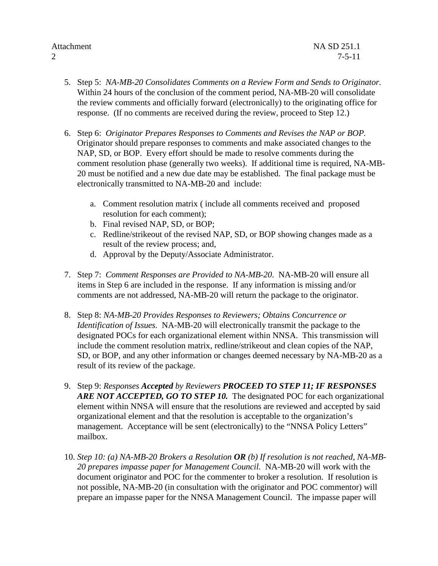- 5. Step 5: *NA-MB-20 Consolidates Comments on a Review Form and Sends to Originator.*  Within 24 hours of the conclusion of the comment period, NA-MB-20 will consolidate the review comments and officially forward (electronically) to the originating office for response. (If no comments are received during the review, proceed to Step 12.)
- 6. Step 6: *Originator Prepares Responses to Comments and Revises the NAP or BOP.* Originator should prepare responses to comments and make associated changes to the NAP, SD, or BOP. Every effort should be made to resolve comments during the comment resolution phase (generally two weeks). If additional time is required, NA-MB-20 must be notified and a new due date may be established. The final package must be electronically transmitted to NA-MB-20 and include:
	- a. Comment resolution matrix ( include all comments received and proposed resolution for each comment);
	- b. Final revised NAP, SD, or BOP;
	- c. Redline/strikeout of the revised NAP, SD, or BOP showing changes made as a result of the review process; and,
	- d. Approval by the Deputy/Associate Administrator.
- 7. Step 7: *Comment Responses are Provided to NA-MB-20*. NA-MB-20 will ensure all items in Step 6 are included in the response. If any information is missing and/or comments are not addressed, NA-MB-20 will return the package to the originator.
- 8. Step 8: *NA-MB-20 Provides Responses to Reviewers; Obtains Concurrence or Identification of Issues.* NA-MB-20 will electronically transmit the package to the designated POCs for each organizational element within NNSA. This transmission will include the comment resolution matrix, redline/strikeout and clean copies of the NAP, SD, or BOP, and any other information or changes deemed necessary by NA-MB-20 as a result of its review of the package.
- 9. Step 9: *Responses Accepted by Reviewers PROCEED TO STEP 11; IF RESPONSES ARE NOT ACCEPTED, GO TO STEP 10.* The designated POC for each organizational element within NNSA will ensure that the resolutions are reviewed and accepted by said organizational element and that the resolution is acceptable to the organization's management. Acceptance will be sent (electronically) to the "NNSA Policy Letters" mailbox.
- 10. *Step 10: (a) NA-MB-20 Brokers a Resolution OR (b) If resolution is not reached, NA-MB-20 prepares impasse paper for Management Council.* NA-MB-20 will work with the document originator and POC for the commenter to broker a resolution. If resolution is not possible, NA-MB-20 (in consultation with the originator and POC commentor) will prepare an impasse paper for the NNSA Management Council. The impasse paper will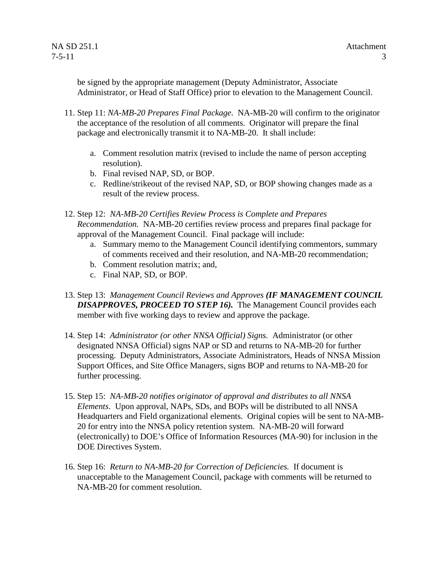be signed by the appropriate management (Deputy Administrator, Associate Administrator, or Head of Staff Office) prior to elevation to the Management Council.

- 11. Step 11: *NA-MB-20 Prepares Final Package*. NA-MB-20 will confirm to the originator the acceptance of the resolution of all comments. Originator will prepare the final package and electronically transmit it to NA-MB-20. It shall include:
	- a. Comment resolution matrix (revised to include the name of person accepting resolution).
	- b. Final revised NAP, SD, or BOP.
	- c. Redline/strikeout of the revised NAP, SD, or BOP showing changes made as a result of the review process.
- 12. Step 12: *NA-MB-20 Certifies Review Process is Complete and Prepares Recommendation.* NA-MB-20 certifies review process and prepares final package for approval of the Management Council. Final package will include:
	- a. Summary memo to the Management Council identifying commentors, summary of comments received and their resolution, and NA-MB-20 recommendation;
	- b. Comment resolution matrix; and,
	- c. Final NAP, SD, or BOP.
- 13. Step 13: *Management Council Reviews and Approves (IF MANAGEMENT COUNCIL DISAPPROVES, PROCEED TO STEP 16).*The Management Council provides each member with five working days to review and approve the package.
- 14. Step 14: *Administrator (or other NNSA Official) Signs.* Administrator (or other designated NNSA Official) signs NAP or SD and returns to NA-MB-20 for further processing. Deputy Administrators, Associate Administrators, Heads of NNSA Mission Support Offices, and Site Office Managers, signs BOP and returns to NA-MB-20 for further processing.
- 15. Step 15: *NA-MB-20 notifies originator of approval and distributes to all NNSA Elements*. Upon approval, NAPs, SDs, and BOPs will be distributed to all NNSA Headquarters and Field organizational elements. Original copies will be sent to NA-MB-20 for entry into the NNSA policy retention system. NA-MB-20 will forward (electronically) to DOE's Office of Information Resources (MA-90) for inclusion in the DOE Directives System.
- 16. Step 16: *Return to NA-MB-20 for Correction of Deficiencies.* If document is unacceptable to the Management Council, package with comments will be returned to NA-MB-20 for comment resolution.